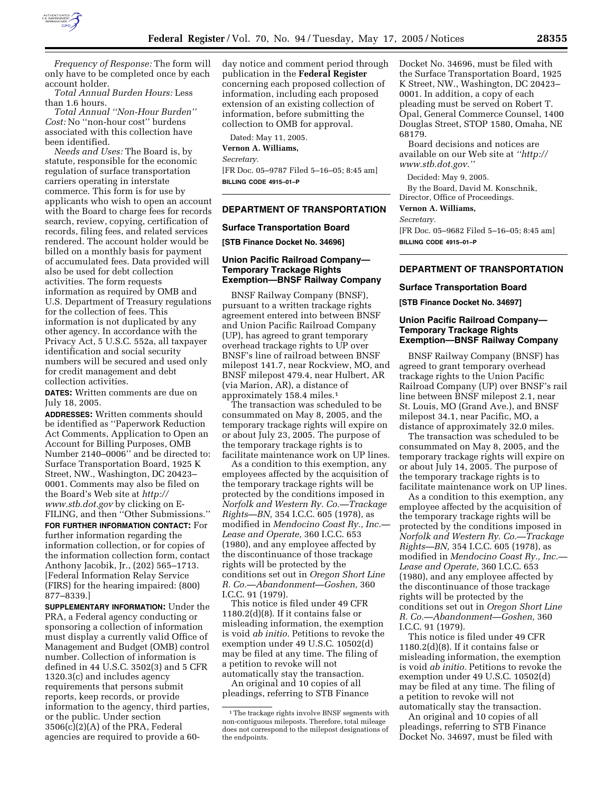

*Frequency of Response:* The form will only have to be completed once by each account holder.

*Total Annual Burden Hours:* Less than 1.6 hours.

*Total Annual ''Non-Hour Burden'' Cost:* No ''non-hour cost'' burdens associated with this collection have been identified.

*Needs and Uses:* The Board is, by statute, responsible for the economic regulation of surface transportation carriers operating in interstate commerce. This form is for use by applicants who wish to open an account with the Board to charge fees for records search, review, copying, certification of records, filing fees, and related services rendered. The account holder would be billed on a monthly basis for payment of accumulated fees. Data provided will also be used for debt collection activities. The form requests information as required by OMB and U.S. Department of Treasury regulations for the collection of fees. This information is not duplicated by any other agency. In accordance with the Privacy Act, 5 U.S.C. 552a, all taxpayer identification and social security numbers will be secured and used only for credit management and debt collection activities.

**DATES:** Written comments are due on July 18, 2005.

**ADDRESSES:** Written comments should be identified as ''Paperwork Reduction Act Comments, Application to Open an Account for Billing Purposes, OMB Number 2140–0006'' and be directed to: Surface Transportation Board, 1925 K Street, NW., Washington, DC 20423– 0001. Comments may also be filed on the Board's Web site at *http:// www.stb.dot.gov* by clicking on E-FILING, and then ''Other Submissions.''

**FOR FURTHER INFORMATION CONTACT:** For further information regarding the information collection, or for copies of the information collection form, contact Anthony Jacobik, Jr., (202) 565–1713. [Federal Information Relay Service (FIRS) for the hearing impaired: (800) 877–8339.]

**SUPPLEMENTARY INFORMATION:** Under the PRA, a Federal agency conducting or sponsoring a collection of information must display a currently valid Office of Management and Budget (OMB) control number. Collection of information is defined in 44 U.S.C. 3502(3) and 5 CFR 1320.3(c) and includes agency requirements that persons submit reports, keep records, or provide information to the agency, third parties, or the public. Under section  $3506(c)(2)(A)$  of the PRA, Federal agencies are required to provide a 60day notice and comment period through publication in the **Federal Register** concerning each proposed collection of information, including each proposed extension of an existing collection of information, before submitting the collection to OMB for approval.

Dated: May 11, 2005. **Vernon A. Williams,**  *Secretary.* [FR Doc. 05–9787 Filed 5–16–05; 8:45 am] **BILLING CODE 4915–01–P**

## **DEPARTMENT OF TRANSPORTATION**

#### **Surface Transportation Board**

**[STB Finance Docket No. 34696]** 

## **Union Pacific Railroad Company— Temporary Trackage Rights Exemption—BNSF Railway Company**

BNSF Railway Company (BNSF), pursuant to a written trackage rights agreement entered into between BNSF and Union Pacific Railroad Company (UP), has agreed to grant temporary overhead trackage rights to UP over BNSF's line of railroad between BNSF milepost 141.7, near Rockview, MO, and BNSF milepost 479.4, near Hulbert, AR (via Marion, AR), a distance of approximately 158.4 miles.1

The transaction was scheduled to be consummated on May 8, 2005, and the temporary trackage rights will expire on or about July 23, 2005. The purpose of the temporary trackage rights is to facilitate maintenance work on UP lines.

As a condition to this exemption, any employees affected by the acquisition of the temporary trackage rights will be protected by the conditions imposed in *Norfolk and Western Ry. Co.—Trackage Rights—BN,* 354 I.C.C. 605 (1978), as modified in *Mendocino Coast Ry., Inc.— Lease and Operate,* 360 I.C.C. 653 (1980), and any employee affected by the discontinuance of those trackage rights will be protected by the conditions set out in *Oregon Short Line R. Co.—Abandonment—Goshen,* 360 I.C.C. 91 (1979).

This notice is filed under 49 CFR 1180.2(d)(8). If it contains false or misleading information, the exemption is void *ab initio.* Petitions to revoke the exemption under 49 U.S.C. 10502(d) may be filed at any time. The filing of a petition to revoke will not automatically stay the transaction.

An original and 10 copies of all pleadings, referring to STB Finance Docket No. 34696, must be filed with the Surface Transportation Board, 1925 K Street, NW., Washington, DC 20423– 0001. In addition, a copy of each pleading must be served on Robert T. Opal, General Commerce Counsel, 1400 Douglas Street, STOP 1580, Omaha, NE 68179.

Board decisions and notices are available on our Web site at *''http:// www.stb.dot.gov.''*

Decided: May 9, 2005.

By the Board, David M. Konschnik, Director, Office of Proceedings.

**Vernon A. Williams,** 

*Secretary.*

[FR Doc. 05–9682 Filed 5–16–05; 8:45 am] **BILLING CODE 4915–01–P**

# **DEPARTMENT OF TRANSPORTATION**

### **Surface Transportation Board**

**[STB Finance Docket No. 34697]** 

## **Union Pacific Railroad Company— Temporary Trackage Rights Exemption—BNSF Railway Company**

BNSF Railway Company (BNSF) has agreed to grant temporary overhead trackage rights to the Union Pacific Railroad Company (UP) over BNSF's rail line between BNSF milepost 2.1, near St. Louis, MO (Grand Ave.), and BNSF milepost 34.1, near Pacific, MO, a distance of approximately 32.0 miles.

The transaction was scheduled to be consummated on May 8, 2005, and the temporary trackage rights will expire on or about July 14, 2005. The purpose of the temporary trackage rights is to facilitate maintenance work on UP lines.

As a condition to this exemption, any employee affected by the acquisition of the temporary trackage rights will be protected by the conditions imposed in *Norfolk and Western Ry. Co.—Trackage Rights—BN,* 354 I.C.C. 605 (1978), as modified in *Mendocino Coast Ry., Inc.— Lease and Operate,* 360 I.C.C. 653 (1980), and any employee affected by the discontinuance of those trackage rights will be protected by the conditions set out in *Oregon Short Line R. Co.—Abandonment—Goshen,* 360 I.C.C. 91 (1979).

This notice is filed under 49 CFR 1180.2(d)(8). If it contains false or misleading information, the exemption is void *ab initio.* Petitions to revoke the exemption under 49 U.S.C. 10502(d) may be filed at any time. The filing of a petition to revoke will not automatically stay the transaction.

An original and 10 copies of all pleadings, referring to STB Finance Docket No. 34697, must be filed with

<sup>1</sup>The trackage rights involve BNSF segments with non-contiguous mileposts. Therefore, total mileage does not correspond to the milepost designations of the endpoints.